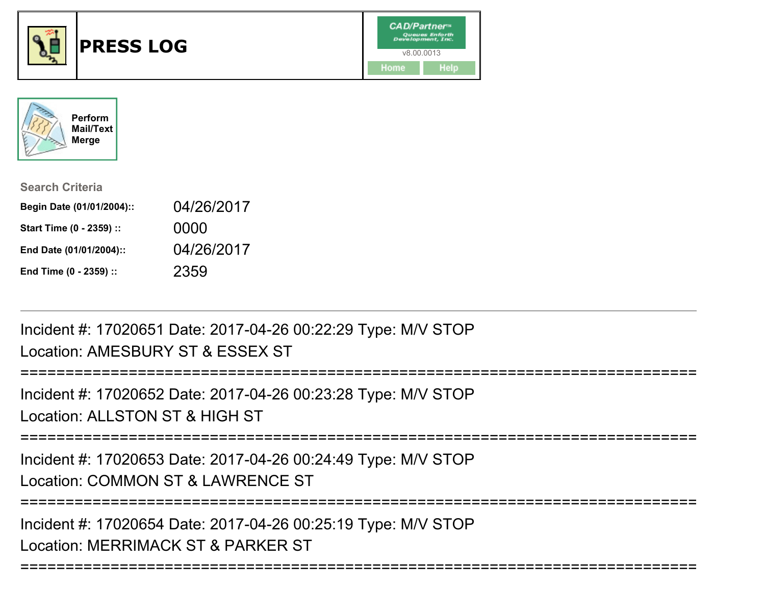



| <b>Search Criteria</b>    |            |
|---------------------------|------------|
| Begin Date (01/01/2004):: | 04/26/2017 |
| Start Time (0 - 2359) ::  | 0000       |
| End Date (01/01/2004)::   | 04/26/2017 |
| End Time (0 - 2359) ::    | 2359       |

Incident #: 17020651 Date: 2017-04-26 00:22:29 Type: M/V STOPLocation: AMESBURY ST & ESSEX ST

====================== Incident #: 17020652 Date: 2017-04-26 00:23:28 Type: M/V STOPLocation: ALLSTON ST & HIGH ST===========================================================================Incident #: 17020653 Date: 2017-04-26 00:24:49 Type: M/V STOPLocation: COMMON ST & LAWRENCE ST===========================================================================Incident #: 17020654 Date: 2017-04-26 00:25:19 Type: M/V STOP

===========================================================================

Location: MERRIMACK ST & PARKER ST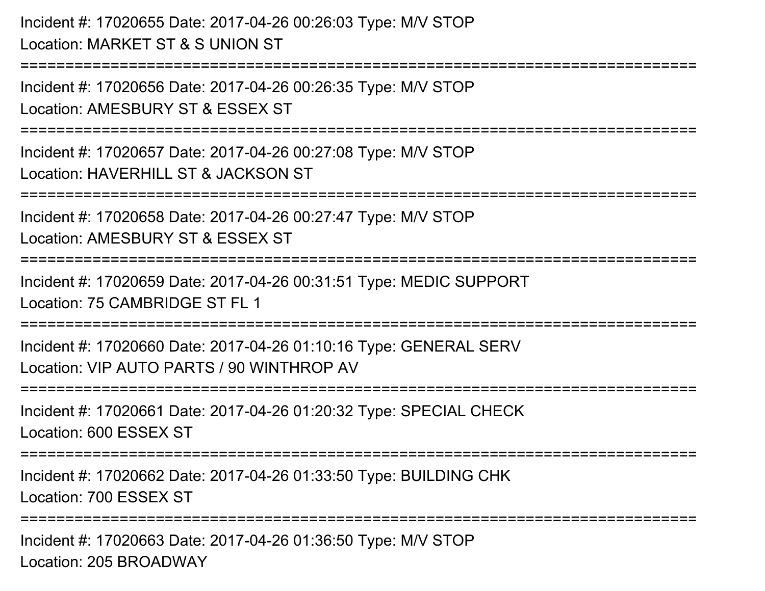Incident #: 17020655 Date: 2017-04-26 00:26:03 Type: M/V STOPLocation: MARKET ST & S UNION ST

===========================================================================

Incident #: 17020656 Date: 2017-04-26 00:26:35 Type: M/V STOPLocation: AMESBURY ST & ESSEX ST

===========================================================================

Incident #: 17020657 Date: 2017-04-26 00:27:08 Type: M/V STOPLocation: HAVERHILL ST & JACKSON ST

===========================================================================

Incident #: 17020658 Date: 2017-04-26 00:27:47 Type: M/V STOP

Location: AMESBURY ST & ESSEX ST

===========================================================================

Incident #: 17020659 Date: 2017-04-26 00:31:51 Type: MEDIC SUPPORTLocation: 75 CAMBRIDGE ST FL 1

===========================================================================

Incident #: 17020660 Date: 2017-04-26 01:10:16 Type: GENERAL SERVLocation: VIP AUTO PARTS / 90 WINTHROP AV

===========================================================================

Incident #: 17020661 Date: 2017-04-26 01:20:32 Type: SPECIAL CHECKLocation: 600 ESSEX ST

===========================================================================

Incident #: 17020662 Date: 2017-04-26 01:33:50 Type: BUILDING CHKLocation: 700 ESSEX ST

=========================

Incident #: 17020663 Date: 2017-04-26 01:36:50 Type: M/V STOPLocation: 205 BROADWAY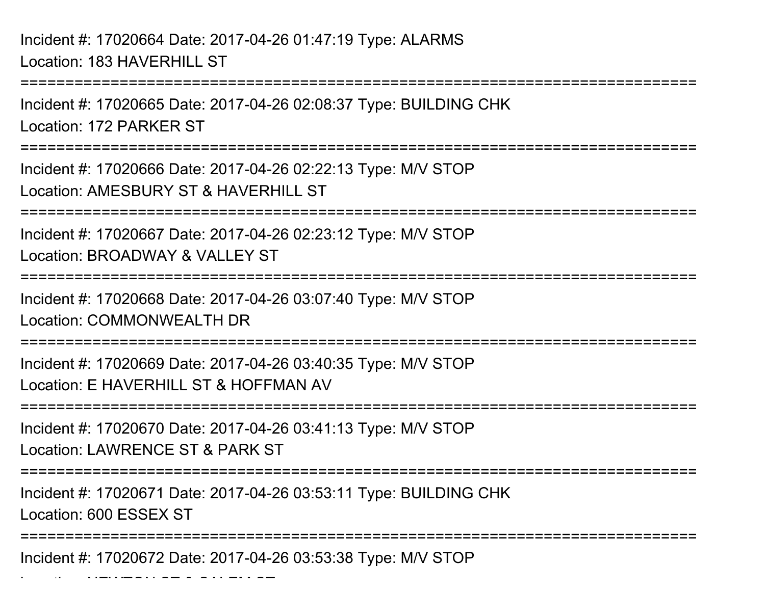Location: NEWTON ST & SALEM ST

===========================================================================Incident #: 17020665 Date: 2017-04-26 02:08:37 Type: BUILDING CHKLocation: 172 PARKER ST===========================================================================Incident #: 17020666 Date: 2017-04-26 02:22:13 Type: M/V STOPLocation: AMESBURY ST & HAVERHILL ST ===========================================================================Incident #: 17020667 Date: 2017-04-26 02:23:12 Type: M/V STOPLocation: BROADWAY & VALLEY ST ===========================================================================Incident #: 17020668 Date: 2017-04-26 03:07:40 Type: M/V STOPLocation: COMMONWEALTH DR ===========================================================================Incident #: 17020669 Date: 2017-04-26 03:40:35 Type: M/V STOPLocation: E HAVERHILL ST & HOFFMAN AV===========================================================================Incident #: 17020670 Date: 2017-04-26 03:41:13 Type: M/V STOPLocation: LAWRENCE ST & PARK ST===========================================================================Incident #: 17020671 Date: 2017-04-26 03:53:11 Type: BUILDING CHKLocation: 600 ESSEX ST===========================================================================Incident #: 17020672 Date: 2017-04-26 03:53:38 Type: M/V STOP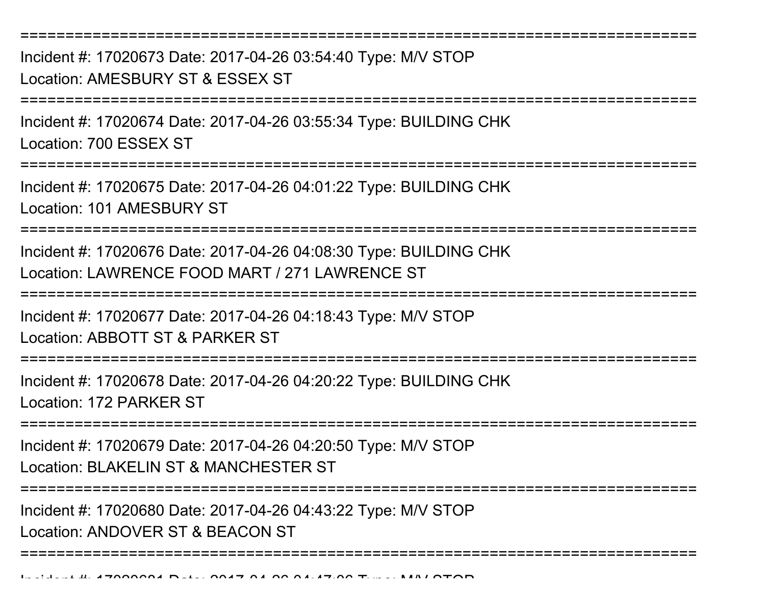Incident #: 17020673 Date: 2017-04-26 03:54:40 Type: M/V STOPLocation: AMESBURY ST & ESSEX ST

===========================================================================

===========================================================================

Incident #: 17020674 Date: 2017-04-26 03:55:34 Type: BUILDING CHKLocation: 700 ESSEX ST

===========================================================================

Incident #: 17020675 Date: 2017-04-26 04:01:22 Type: BUILDING CHKLocation: 101 AMESBURY ST

===========================================================================

Incident #: 17020676 Date: 2017-04-26 04:08:30 Type: BUILDING CHKLocation: LAWRENCE FOOD MART / 271 LAWRENCE ST

===========================================================================

Incident #: 17020677 Date: 2017-04-26 04:18:43 Type: M/V STOP

Location: ABBOTT ST & PARKER ST

===========================================================================

Incident #: 17020678 Date: 2017-04-26 04:20:22 Type: BUILDING CHKLocation: 172 PARKER ST

===========================================================================

Incident #: 17020679 Date: 2017-04-26 04:20:50 Type: M/V STOPLocation: BLAKELIN ST & MANCHESTER ST

===========================================================================

===========================================================================

Incident #: 17020680 Date: 2017-04-26 04:43:22 Type: M/V STOP

Location: ANDOVER ST & BEACON ST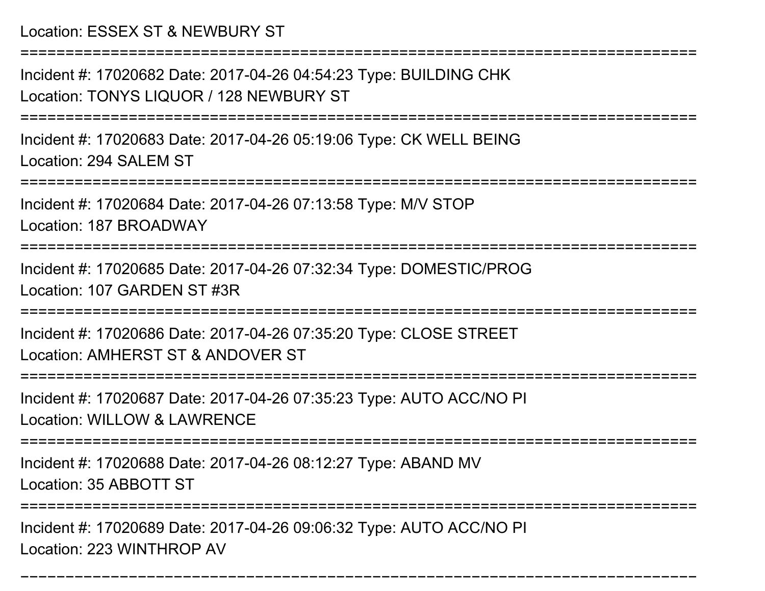Location: ESSEX ST & NEWBURY ST

===========================================================================

Incident #: 17020682 Date: 2017-04-26 04:54:23 Type: BUILDING CHKLocation: TONYS LIQUOR / 128 NEWBURY ST

===========================================================================

Incident #: 17020683 Date: 2017-04-26 05:19:06 Type: CK WELL BEINGLocation: 294 SALEM ST

===========================================================================

Incident #: 17020684 Date: 2017-04-26 07:13:58 Type: M/V STOP

Location: 187 BROADWAY

===========================================================================

Incident #: 17020685 Date: 2017-04-26 07:32:34 Type: DOMESTIC/PROGLocation: 107 GARDEN ST #3R

===========================================================================

Incident #: 17020686 Date: 2017-04-26 07:35:20 Type: CLOSE STREETLocation: AMHERST ST & ANDOVER ST

===========================================================================

Incident #: 17020687 Date: 2017-04-26 07:35:23 Type: AUTO ACC/NO PILocation: WILLOW & LAWRENCE

===========================================================================

Incident #: 17020688 Date: 2017-04-26 08:12:27 Type: ABAND MV

Location: 35 ABBOTT ST

===========================================================================

===========================================================================

Incident #: 17020689 Date: 2017-04-26 09:06:32 Type: AUTO ACC/NO PILocation: 223 WINTHROP AV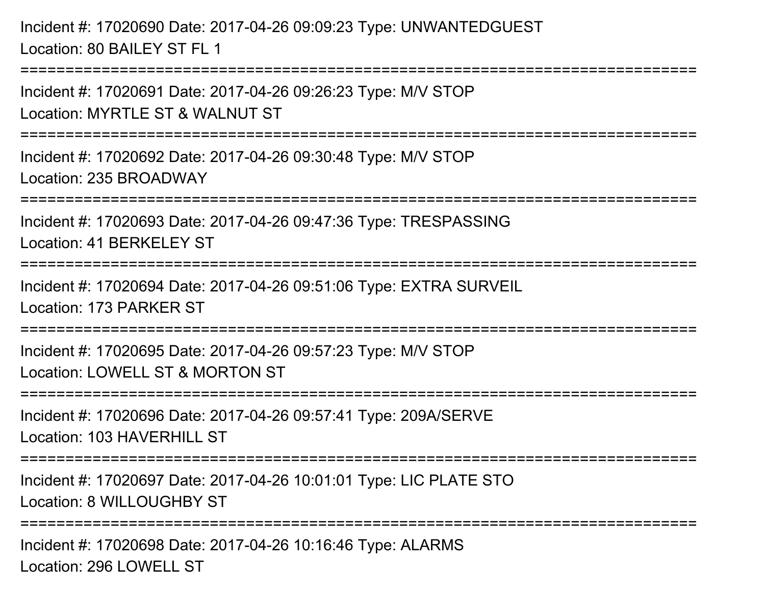Incident #: 17020690 Date: 2017-04-26 09:09:23 Type: UNWANTEDGUESTLocation: 80 BAILEY ST FL 1

Incident #: 17020691 Date: 2017-04-26 09:26:23 Type: M/V STOPLocation: MYRTLE ST & WALNUT ST

===========================================================================

===========================================================================

Incident #: 17020692 Date: 2017-04-26 09:30:48 Type: M/V STOPLocation: 235 BROADWAY

===========================================================================

Incident #: 17020693 Date: 2017-04-26 09:47:36 Type: TRESPASSINGLocation: 41 BERKELEY ST

===========================================================================

Incident #: 17020694 Date: 2017-04-26 09:51:06 Type: EXTRA SURVEIL

Location: 173 PARKER ST

===========================================================================

Incident #: 17020695 Date: 2017-04-26 09:57:23 Type: M/V STOP

Location: LOWELL ST & MORTON ST

===========================================================================

Incident #: 17020696 Date: 2017-04-26 09:57:41 Type: 209A/SERVELocation: 103 HAVERHILL ST

===========================================================================

Incident #: 17020697 Date: 2017-04-26 10:01:01 Type: LIC PLATE STOLocation: 8 WILLOUGHBY ST

===========================================================================

Incident #: 17020698 Date: 2017-04-26 10:16:46 Type: ALARMSLocation: 296 LOWELL ST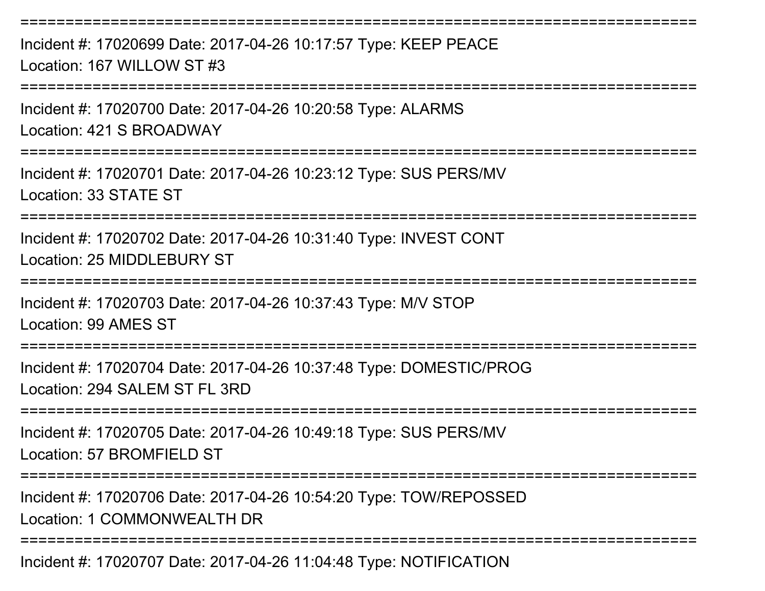Incident #: 17020699 Date: 2017-04-26 10:17:57 Type: KEEP PEACELocation: 167 WILLOW ST #3

===========================================================================

===========================================================================

Incident #: 17020700 Date: 2017-04-26 10:20:58 Type: ALARMSLocation: 421 S BROADWAY

===========================================================================

Incident #: 17020701 Date: 2017-04-26 10:23:12 Type: SUS PERS/MVLocation: 33 STATE ST

===========================================================================

Incident #: 17020702 Date: 2017-04-26 10:31:40 Type: INVEST CONTLocation: 25 MIDDLEBURY ST

===========================================================================

Incident #: 17020703 Date: 2017-04-26 10:37:43 Type: M/V STOP

Location: 99 AMES ST

===========================================================================

Incident #: 17020704 Date: 2017-04-26 10:37:48 Type: DOMESTIC/PROGLocation: 294 SALEM ST FL 3RD

===========================================================================

Incident #: 17020705 Date: 2017-04-26 10:49:18 Type: SUS PERS/MVLocation: 57 BROMFIFLD ST

===========================================================================

Incident #: 17020706 Date: 2017-04-26 10:54:20 Type: TOW/REPOSSEDLocation: 1 COMMONWEALTH DR

===========================================================================

Incident #: 17020707 Date: 2017-04-26 11:04:48 Type: NOTIFICATION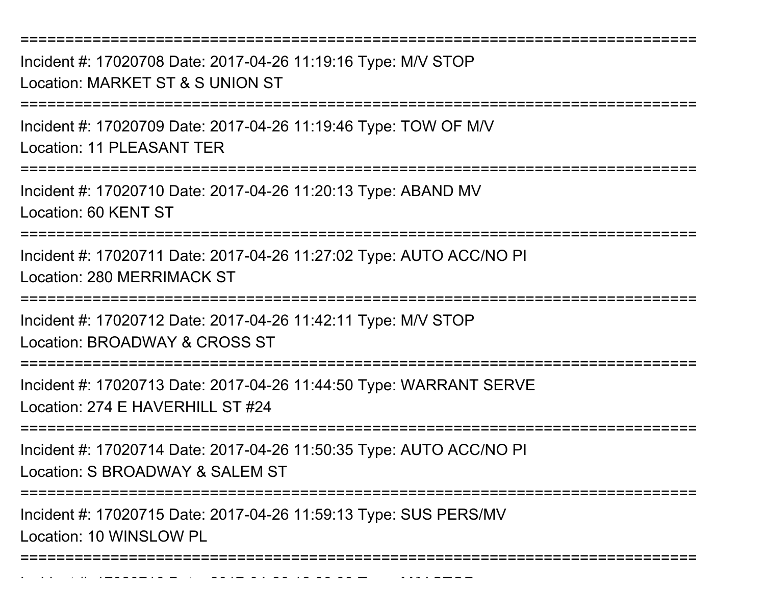Incident #: 17020708 Date: 2017-04-26 11:19:16 Type: M/V STOPLocation: MARKET ST & S UNION ST

===========================================================================

===========================================================================

Incident #: 17020709 Date: 2017-04-26 11:19:46 Type: TOW OF M/VLocation: 11 PLEASANT TER

===========================================================================

Incident #: 17020710 Date: 2017-04-26 11:20:13 Type: ABAND MVLocation: 60 KENT ST

===========================================================================

Incident #: 17020711 Date: 2017-04-26 11:27:02 Type: AUTO ACC/NO PILocation: 280 MERRIMACK ST

===========================================================================

Incident #: 17020712 Date: 2017-04-26 11:42:11 Type: M/V STOPLocation: BROADWAY & CROSS ST

===========================================================================

Incident #: 17020713 Date: 2017-04-26 11:44:50 Type: WARRANT SERVELocation: 274 E HAVERHILL ST #24

===========================================================================

Incident #: 17020714 Date: 2017-04-26 11:50:35 Type: AUTO ACC/NO PI

Location: S BROADWAY & SALEM ST

Incident #: 17020716 Date: 2017

===========================================================================

Incident #: 17020715 Date: 2017-04-26 11:59:13 Type: SUS PERS/MVLocation: 10 WINSLOW PL

===========================================================================

<sup>04</sup> 26 12:08:33 Type: M/V STOP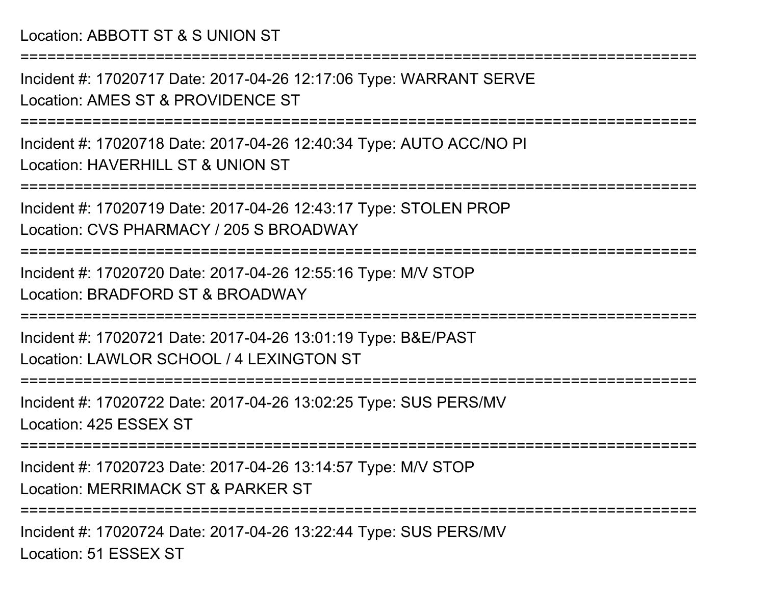## Location: ABBOTT ST & S UNION ST

Incident #: 17020717 Date: 2017-04-26 12:17:06 Type: WARRANT SERVELocation: AMES ST & PROVIDENCE ST

===========================================================================

===========================================================================

Incident #: 17020718 Date: 2017-04-26 12:40:34 Type: AUTO ACC/NO PILocation: HAVERHILL ST & UNION ST

===========================================================================

Incident #: 17020719 Date: 2017-04-26 12:43:17 Type: STOLEN PROPLocation: CVS PHARMACY / 205 S BROADWAY

===========================================================================

Incident #: 17020720 Date: 2017-04-26 12:55:16 Type: M/V STOPLocation: BRADFORD ST & BROADWAY

===========================================================================

Incident #: 17020721 Date: 2017-04-26 13:01:19 Type: B&E/PASTLocation: LAWLOR SCHOOL / 4 LEXINGTON ST

===========================================================================

Incident #: 17020722 Date: 2017-04-26 13:02:25 Type: SUS PERS/MVLocation: 425 ESSEX ST

===========================================================================

Incident #: 17020723 Date: 2017-04-26 13:14:57 Type: M/V STOPLocation: MERRIMACK ST & PARKER ST

===========================================================================

Incident #: 17020724 Date: 2017-04-26 13:22:44 Type: SUS PERS/MVLocation: 51 ESSEX ST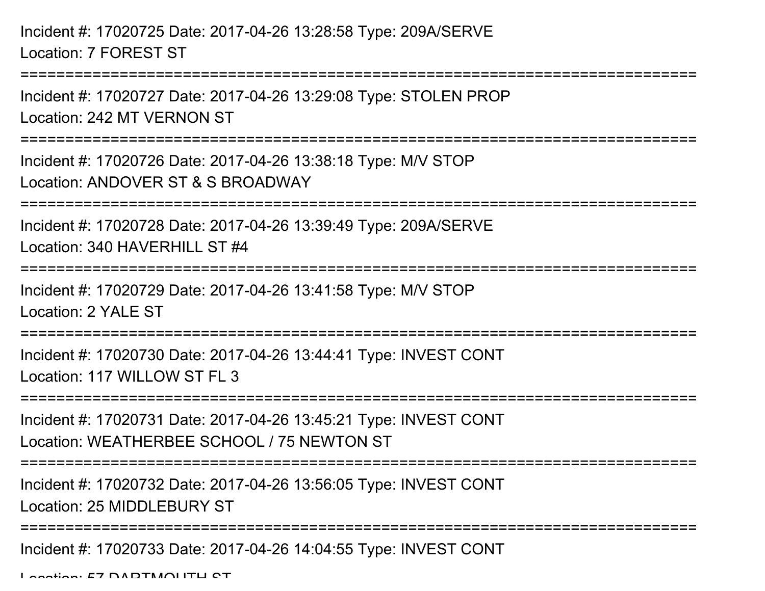Incident #: 17020725 Date: 2017-04-26 13:28:58 Type: 209A/SERVELocation: 7 FOREST ST

Incident #: 17020727 Date: 2017-04-26 13:29:08 Type: STOLEN PROPLocation: 242 MT VERNON ST

===========================================================================

===========================================================================

Incident #: 17020726 Date: 2017-04-26 13:38:18 Type: M/V STOPLocation: ANDOVER ST & S BROADWAY

===========================================================================

Incident #: 17020728 Date: 2017-04-26 13:39:49 Type: 209A/SERVE

Location: 340 HAVERHILL ST #4

===========================================================================

Incident #: 17020729 Date: 2017-04-26 13:41:58 Type: M/V STOP

Location: 2 YALE ST

===========================================================================

Incident #: 17020730 Date: 2017-04-26 13:44:41 Type: INVEST CONTLocation: 117 WILLOW ST FL 3

===========================================================================

Incident #: 17020731 Date: 2017-04-26 13:45:21 Type: INVEST CONTLocation: WEATHERBEE SCHOOL / 75 NEWTON ST

===========================================================================

Incident #: 17020732 Date: 2017-04-26 13:56:05 Type: INVEST CONT

Location: 25 MIDDL FBURY ST

===========================================================================

Incident #: 17020733 Date: 2017-04-26 14:04:55 Type: INVEST CONT

Location: 57 DADTMOUTH CT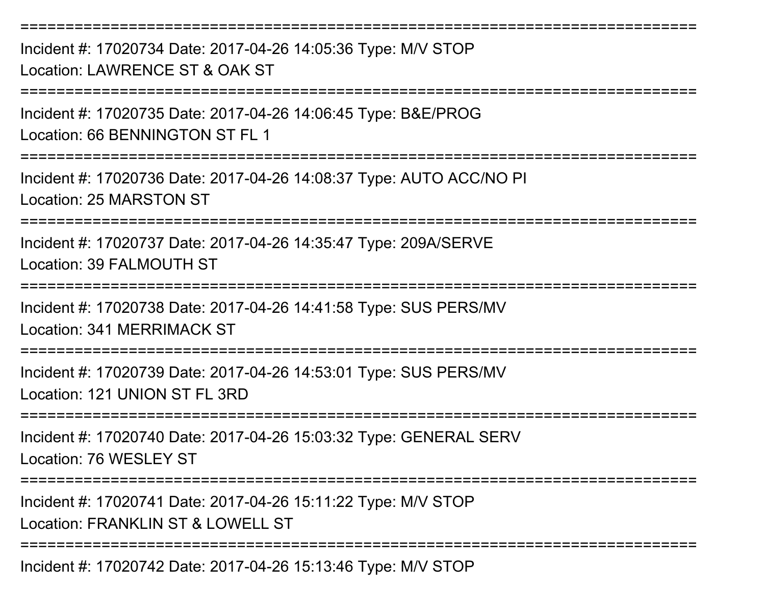===========================================================================Incident #: 17020734 Date: 2017-04-26 14:05:36 Type: M/V STOPLocation: LAWRENCE ST & OAK ST===========================================================================Incident #: 17020735 Date: 2017-04-26 14:06:45 Type: B&E/PROGLocation: 66 BENNINGTON ST FL 1===========================================================================Incident #: 17020736 Date: 2017-04-26 14:08:37 Type: AUTO ACC/NO PILocation: 25 MARSTON ST===========================================================================Incident #: 17020737 Date: 2017-04-26 14:35:47 Type: 209A/SERVELocation: 39 FALMOUTH ST===========================================================================Incident #: 17020738 Date: 2017-04-26 14:41:58 Type: SUS PERS/MVLocation: 341 MERRIMACK ST===========================================================================Incident #: 17020739 Date: 2017-04-26 14:53:01 Type: SUS PERS/MVLocation: 121 UNION ST FL 3RD===========================================================================Incident #: 17020740 Date: 2017-04-26 15:03:32 Type: GENERAL SERVLocation: 76 WESLEY ST===========================================================================Incident #: 17020741 Date: 2017-04-26 15:11:22 Type: M/V STOPLocation: FRANKLIN ST & LOWELL ST ===========================================================================

Incident #: 17020742 Date: 2017-04-26 15:13:46 Type: M/V STOP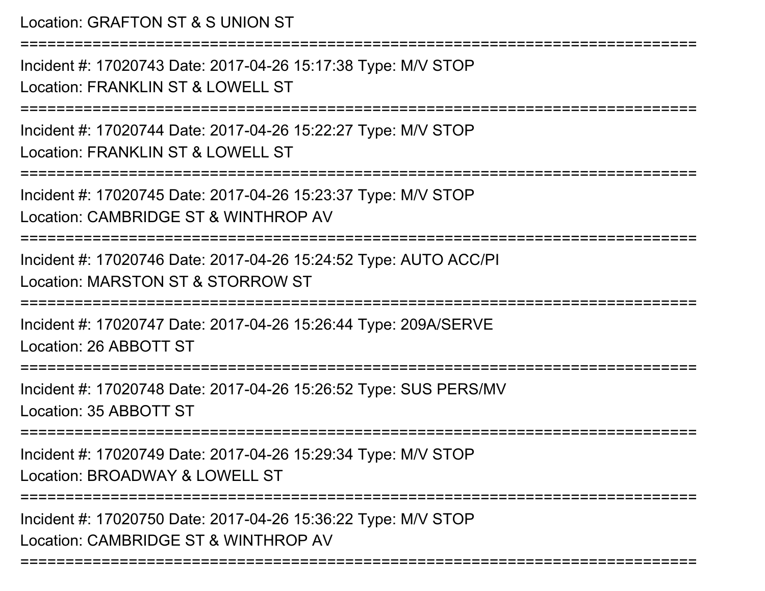Location: GRAFTON ST & S UNION ST===========================================================================Incident #: 17020743 Date: 2017-04-26 15:17:38 Type: M/V STOPLocation: FRANKLIN ST & LOWELL ST ===========================================================================Incident #: 17020744 Date: 2017-04-26 15:22:27 Type: M/V STOPLocation: FRANKLIN ST & LOWELL ST===========================================================================Incident #: 17020745 Date: 2017-04-26 15:23:37 Type: M/V STOPLocation: CAMBRIDGE ST & WINTHROP AV===========================================================================Incident #: 17020746 Date: 2017-04-26 15:24:52 Type: AUTO ACC/PILocation: MARSTON ST & STORROW ST===========================================================================Incident #: 17020747 Date: 2017-04-26 15:26:44 Type: 209A/SERVELocation: 26 ABBOTT ST===========================================================================Incident #: 17020748 Date: 2017-04-26 15:26:52 Type: SUS PERS/MVLocation: 35 ABBOTT ST===========================================================================Incident #: 17020749 Date: 2017-04-26 15:29:34 Type: M/V STOPLocation: BROADWAY & LOWELL ST ===========================================================================Incident #: 17020750 Date: 2017-04-26 15:36:22 Type: M/V STOPLocation: CAMBRIDGE ST & WINTHROP AV

===========================================================================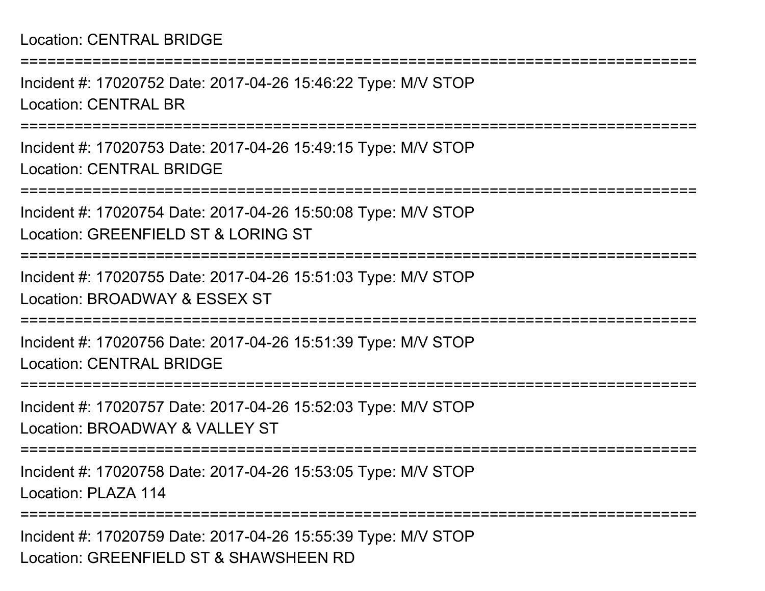## Location: CENTRAL BRIDGE

===========================================================================Incident #: 17020752 Date: 2017-04-26 15:46:22 Type: M/V STOPLocation: CENTRAL BR ===========================================================================Incident #: 17020753 Date: 2017-04-26 15:49:15 Type: M/V STOPLocation: CENTRAL BRIDGE===========================================================================Incident #: 17020754 Date: 2017-04-26 15:50:08 Type: M/V STOPLocation: GREENFIELD ST & LORING ST===========================================================================Incident #: 17020755 Date: 2017-04-26 15:51:03 Type: M/V STOPLocation: BROADWAY & ESSEX ST===========================================================================Incident #: 17020756 Date: 2017-04-26 15:51:39 Type: M/V STOPLocation: CENTRAL BRIDGE===========================================================================Incident #: 17020757 Date: 2017-04-26 15:52:03 Type: M/V STOPLocation: BROADWAY & VALLEY ST===========================================================================Incident #: 17020758 Date: 2017-04-26 15:53:05 Type: M/V STOPLocation: PLAZA 114===========================================================================Incident #: 17020759 Date: 2017-04-26 15:55:39 Type: M/V STOP

Location: GREENFIELD ST & SHAWSHEEN RD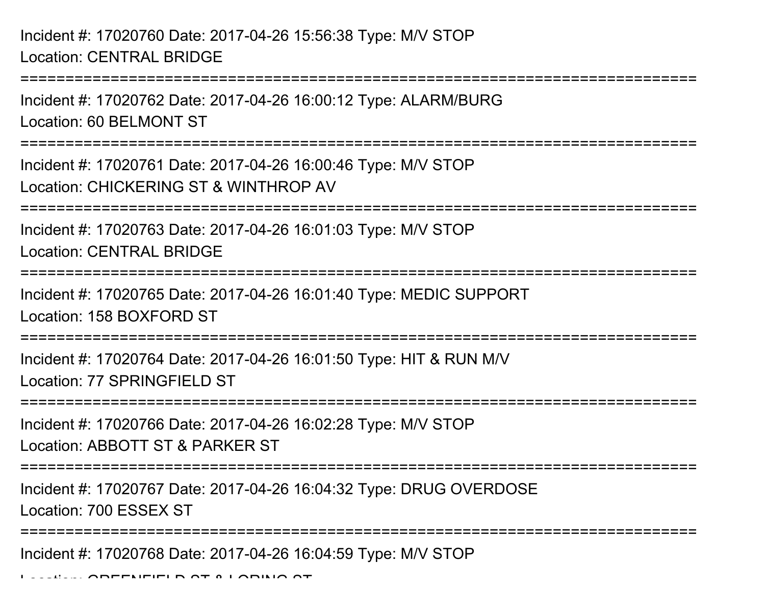===========================================================================Incident #: 17020762 Date: 2017-04-26 16:00:12 Type: ALARM/BURGLocation: 60 BELMONT ST===========================================================================Incident #: 17020761 Date: 2017-04-26 16:00:46 Type: M/V STOPLocation: CHICKERING ST & WINTHROP AV===========================================================================Incident #: 17020763 Date: 2017-04-26 16:01:03 Type: M/V STOPLocation: CENTRAL BRIDGE===========================================================================Incident #: 17020765 Date: 2017-04-26 16:01:40 Type: MEDIC SUPPORTLocation: 158 BOXFORD ST============================= Incident #: 17020764 Date: 2017-04-26 16:01:50 Type: HIT & RUN M/VLocation: 77 SPRINGFIFLD ST ===========================================================================Incident #: 17020766 Date: 2017-04-26 16:02:28 Type: M/V STOPLocation: ABBOTT ST & PARKER ST===========================================================================Incident #: 17020767 Date: 2017-04-26 16:04:32 Type: DRUG OVERDOSELocation: 700 ESSEX ST

Incident #: 17020768 Date: 2017-04-26 16:04:59 Type: M/V STOP

===========================================================================

Location: GREENFIELD ST & LORING ST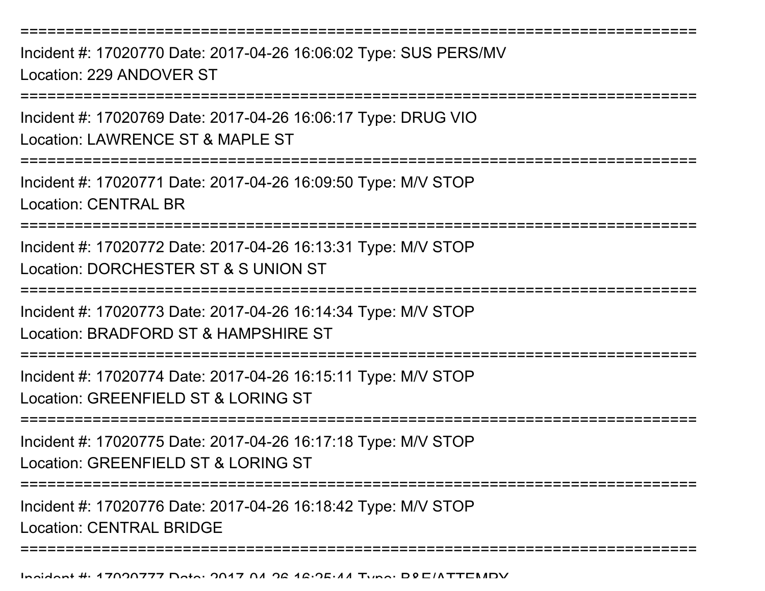===========================================================================Incident #: 17020770 Date: 2017-04-26 16:06:02 Type: SUS PERS/MVLocation: 229 ANDOVER ST===========================================================================Incident #: 17020769 Date: 2017-04-26 16:06:17 Type: DRUG VIOLocation: LAWRENCE ST & MAPLE ST

Incident #: 17020771 Date: 2017-04-26 16:09:50 Type: M/V STOP

Location: CENTRAL BR

===========================================================================

===========================================================================

Incident #: 17020772 Date: 2017-04-26 16:13:31 Type: M/V STOPLocation: DORCHESTER ST & S UNION ST

===========================================================================

Incident #: 17020773 Date: 2017-04-26 16:14:34 Type: M/V STOPLocation: BRADFORD ST & HAMPSHIRE ST

===========================================================================

Incident #: 17020774 Date: 2017-04-26 16:15:11 Type: M/V STOP

Location: GREENFIELD ST & LORING ST

===========================================================================

Incident #: 17020775 Date: 2017-04-26 16:17:18 Type: M/V STOP

Location: GREENFIELD ST & LORING ST

===========================================================================

Incident #: 17020776 Date: 2017-04-26 16:18:42 Type: M/V STOPLocation: CENTRAL BRIDGE

===========================================================================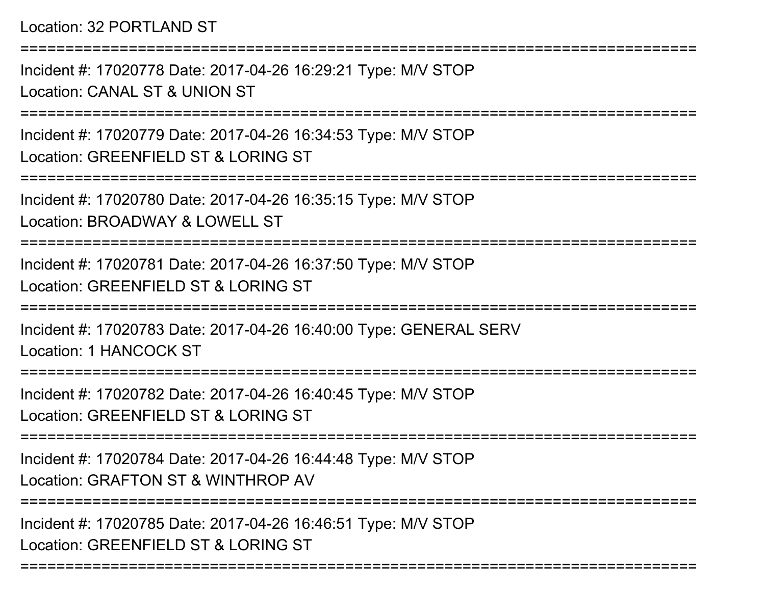===========================================================================

Incident #: 17020778 Date: 2017-04-26 16:29:21 Type: M/V STOPLocation: CANAL ST & UNION ST

===========================================================================

Incident #: 17020779 Date: 2017-04-26 16:34:53 Type: M/V STOPLocation: GREENFIELD ST & LORING ST

===========================================================================

Incident #: 17020780 Date: 2017-04-26 16:35:15 Type: M/V STOPLocation: BROADWAY & LOWELL ST

===========================================================================

Incident #: 17020781 Date: 2017-04-26 16:37:50 Type: M/V STOPLocation: GREENFIELD ST & LORING ST

===========================================================================

Incident #: 17020783 Date: 2017-04-26 16:40:00 Type: GENERAL SERVLocation: 1 HANCOCK ST

===========================================================================

Incident #: 17020782 Date: 2017-04-26 16:40:45 Type: M/V STOPLocation: GREENFIELD ST & LORING ST

===========================================================================

Incident #: 17020784 Date: 2017-04-26 16:44:48 Type: M/V STOPLocation: GRAFTON ST & WINTHROP AV

===========================================================================

===========================================================================

Incident #: 17020785 Date: 2017-04-26 16:46:51 Type: M/V STOPLocation: GREENFIELD ST & LORING ST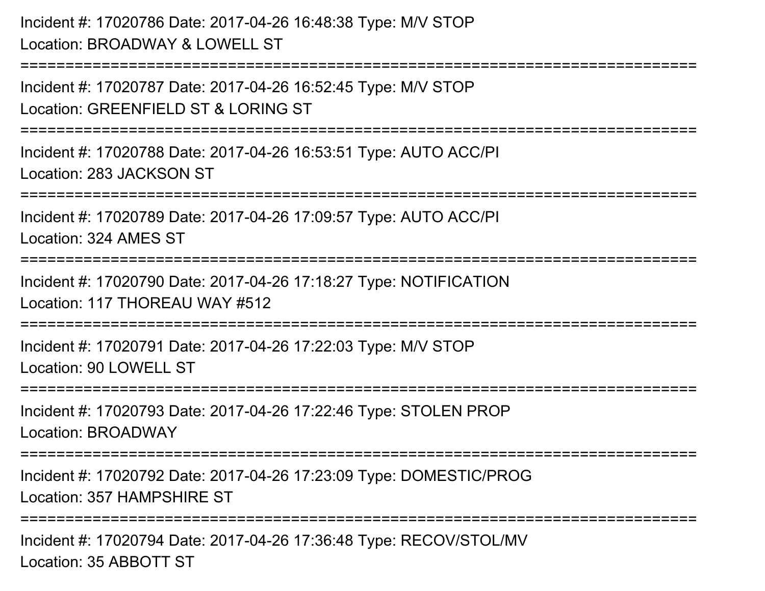Incident #: 17020786 Date: 2017-04-26 16:48:38 Type: M/V STOPLocation: BROADWAY & LOWELL ST

============================== Incident #: 17020787 Date: 2017-04-26 16:52:45 Type: M/V STOPLocation: GREENFIELD ST & LORING ST===========================================================================Incident #: 17020788 Date: 2017-04-26 16:53:51 Type: AUTO ACC/PILocation: 283 JACKSON ST===========================================================================Incident #: 17020789 Date: 2017-04-26 17:09:57 Type: AUTO ACC/PILocation: 324 AMES ST======================== Incident #: 17020790 Date: 2017-04-26 17:18:27 Type: NOTIFICATIONLocation: 117 THOREAU WAY #512===========================================================================Incident #: 17020791 Date: 2017-04-26 17:22:03 Type: M/V STOPLocation: 90 LOWELL ST ===========================================================================Incident #: 17020793 Date: 2017-04-26 17:22:46 Type: STOLEN PROPLocation: BROADWAY===========================================================================Incident #: 17020792 Date: 2017-04-26 17:23:09 Type: DOMESTIC/PROGLocation: 357 HAMPSHIRE ST**=================** 

Incident #: 17020794 Date: 2017-04-26 17:36:48 Type: RECOV/STOL/MVLocation: 35 ABBOTT ST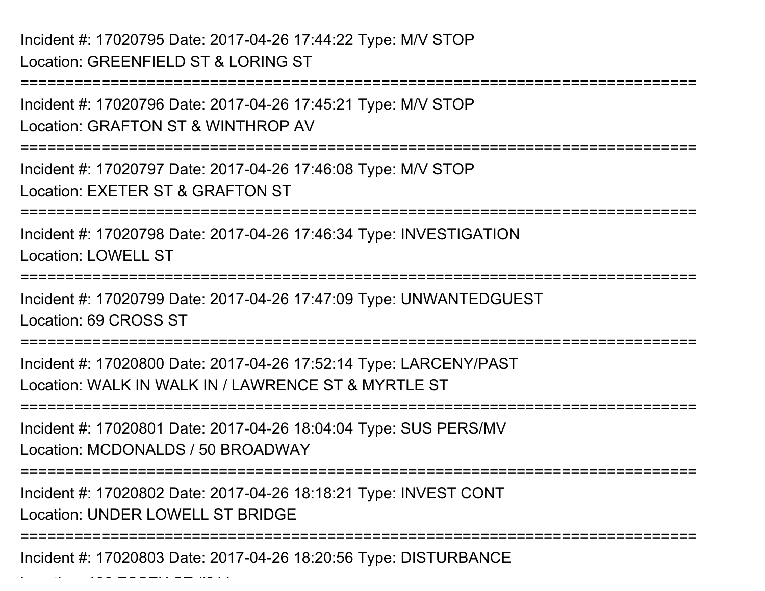Incident #: 17020795 Date: 2017-04-26 17:44:22 Type: M/V STOPLocation: GREENFIELD ST & LORING ST

Incident #: 17020796 Date: 2017-04-26 17:45:21 Type: M/V STOPLocation: GRAFTON ST & WINTHROP AV

===========================================================================

===========================================================================

Incident #: 17020797 Date: 2017-04-26 17:46:08 Type: M/V STOPLocation: EXETER ST & GRAFTON ST

===========================================================================

Incident #: 17020798 Date: 2017-04-26 17:46:34 Type: INVESTIGATIONLocation: LOWELL ST

===========================================================================

Incident #: 17020799 Date: 2017-04-26 17:47:09 Type: UNWANTEDGUESTLocation: 69 CROSS ST

===========================================================================

Incident #: 17020800 Date: 2017-04-26 17:52:14 Type: LARCENY/PASTLocation: WALK IN WALK IN / LAWRENCE ST & MYRTLE ST

===========================================================================

Incident #: 17020801 Date: 2017-04-26 18:04:04 Type: SUS PERS/MVLocation: MCDONALDS / 50 BROADWAY

===========================================================================

Incident #: 17020802 Date: 2017-04-26 18:18:21 Type: INVEST CONTLocation: UNDER LOWELL ST BRIDGE

===========================================================================

Incident #: 17020803 Date: 2017-04-26 18:20:56 Type: DISTURBANCE

 $\mathcal{L}$   $\mathcal{L}$   $\mathcal{L}$   $\mathcal{L}$   $\mathcal{L}$   $\mathcal{L}$   $\mathcal{L}$   $\mathcal{L}$   $\mathcal{L}$   $\mathcal{L}$   $\mathcal{L}$   $\mathcal{L}$   $\mathcal{L}$   $\mathcal{L}$   $\mathcal{L}$   $\mathcal{L}$   $\mathcal{L}$   $\mathcal{L}$   $\mathcal{L}$   $\mathcal{L}$   $\mathcal{L}$   $\mathcal{L}$   $\mathcal{L}$   $\mathcal{L}$   $\mathcal{$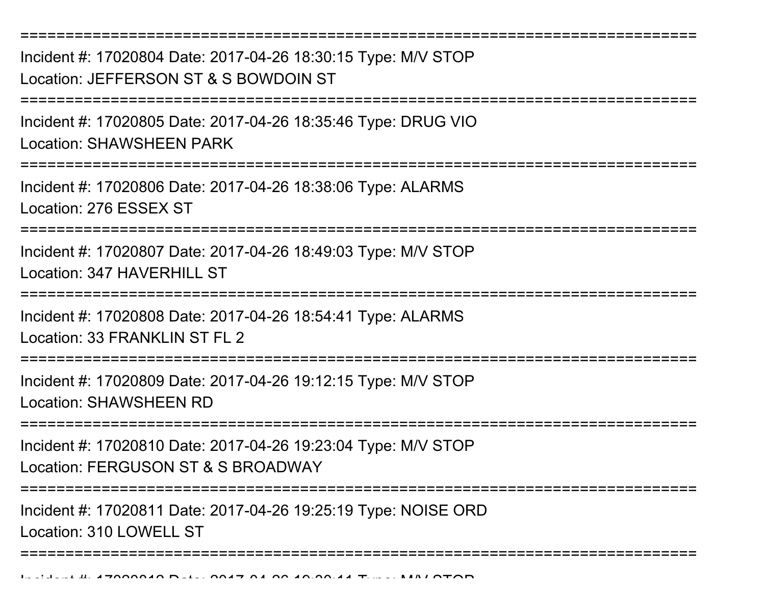===========================================================================Incident #: 17020804 Date: 2017-04-26 18:30:15 Type: M/V STOPLocation: JEFFERSON ST & S BOWDOIN ST===========================================================================Incident #: 17020805 Date: 2017-04-26 18:35:46 Type: DRUG VIOLocation: SHAWSHEEN PARK===========================================================================Incident #: 17020806 Date: 2017-04-26 18:38:06 Type: ALARMSLocation: 276 ESSEX ST===========================================================================Incident #: 17020807 Date: 2017-04-26 18:49:03 Type: M/V STOPLocation: 347 HAVERHILL ST ===========================================================================Incident #: 17020808 Date: 2017-04-26 18:54:41 Type: ALARMSLocation: 33 FRANKLIN ST FL 2 ===========================================================================Incident #: 17020809 Date: 2017-04-26 19:12:15 Type: M/V STOPLocation: SHAWSHEEN RD ===========================================================================Incident #: 17020810 Date: 2017-04-26 19:23:04 Type: M/V STOPLocation: FERGUSON ST & S BROADWAY===========================================================================Incident #: 17020811 Date: 2017-04-26 19:25:19 Type: NOISE ORDLocation: 310 LOWELL ST===========================================================================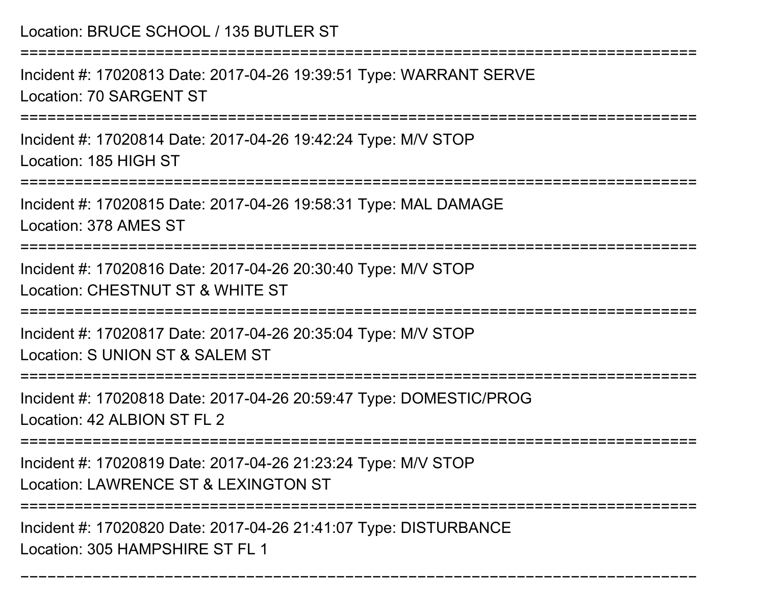Location: BRUCE SCHOOL / 135 BUTLER ST

===========================================================================

Incident #: 17020813 Date: 2017-04-26 19:39:51 Type: WARRANT SERVELocation: 70 SARGENT ST

===========================================================================

Incident #: 17020814 Date: 2017-04-26 19:42:24 Type: M/V STOPLocation: 185 HIGH ST

===========================================================================

Incident #: 17020815 Date: 2017-04-26 19:58:31 Type: MAL DAMAGELocation: 378 AMES ST

===========================================================================

Incident #: 17020816 Date: 2017-04-26 20:30:40 Type: M/V STOPLocation: CHESTNUT ST & WHITE ST

===========================================================================

Incident #: 17020817 Date: 2017-04-26 20:35:04 Type: M/V STOPLocation: S UNION ST & SALEM ST

===========================================================================

Incident #: 17020818 Date: 2017-04-26 20:59:47 Type: DOMESTIC/PROGLocation: 42 ALBION ST FL 2

===========================================================================

Incident #: 17020819 Date: 2017-04-26 21:23:24 Type: M/V STOP

Location: LAWRENCE ST & LEXINGTON ST

===========================================================================

===========================================================================

Incident #: 17020820 Date: 2017-04-26 21:41:07 Type: DISTURBANCELocation: 305 HAMPSHIRE ST FL 1